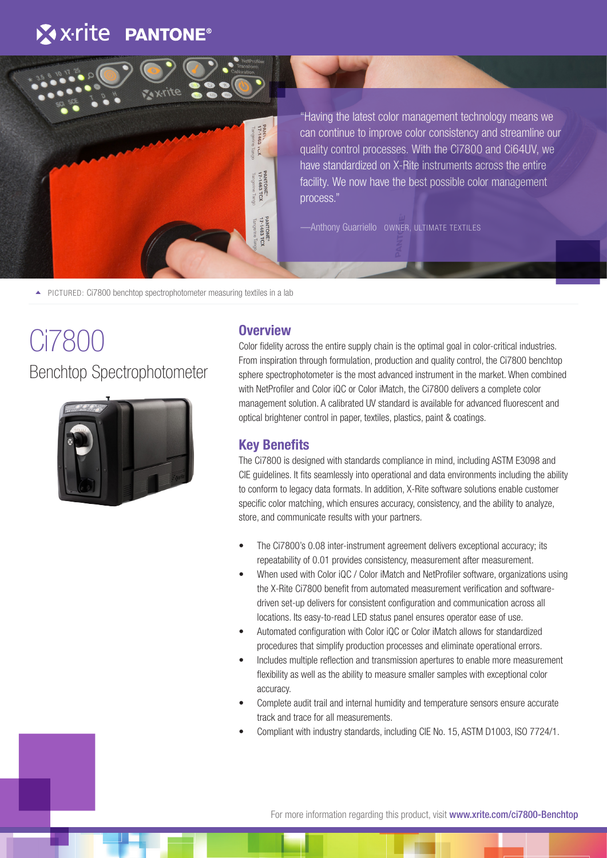## X x-rite PANTONE®



"Having the latest color management technology means we can continue to improve color consistency and streamline our quality control processes. With the Ci7800 and Ci64UV, we have standardized on X-Rite instruments across the entire facility. We now have the best possible color management process."

—Anthony Guarriello OWNER, ULTIMATE TEXTILES

▲ PICTURED: Ci7800 benchtop spectrophotometer measuring textiles in a lab

# Ci7800 Benchtop Spectrophotometer



#### **Overview**

Color fidelity across the entire supply chain is the optimal goal in color-critical industries. From inspiration through formulation, production and quality control, the Ci7800 benchtop sphere spectrophotometer is the most advanced instrument in the market. When combined with NetProfiler and Color iQC or Color iMatch, the Ci7800 delivers a complete color management solution. A calibrated UV standard is available for advanced fluorescent and optical brightener control in paper, textiles, plastics, paint & coatings.

#### **Key Benefits**

The Ci7800 is designed with standards compliance in mind, including ASTM E3098 and CIE guidelines. It fits seamlessly into operational and data environments including the ability to conform to legacy data formats. In addition, X-Rite software solutions enable customer specific color matching, which ensures accuracy, consistency, and the ability to analyze, store, and communicate results with your partners.

- The Ci7800's 0.08 inter-instrument agreement delivers exceptional accuracy; its repeatability of 0.01 provides consistency, measurement after measurement.
- When used with Color iQC / Color iMatch and NetProfiler software, organizations using the X-Rite Ci7800 benefit from automated measurement verification and softwaredriven set-up delivers for consistent configuration and communication across all locations. Its easy-to-read LED status panel ensures operator ease of use.
- Automated configuration with Color iQC or Color iMatch allows for standardized procedures that simplify production processes and eliminate operational errors.
- Includes multiple reflection and transmission apertures to enable more measurement flexibility as well as the ability to measure smaller samples with exceptional color accuracy.
- Complete audit trail and internal humidity and temperature sensors ensure accurate track and trace for all measurements.
- Compliant with industry standards, including CIE No. 15, ASTM D1003, ISO 7724/1.

For more information regarding this product, visit www.xrite.com/ci7800-Benchtop